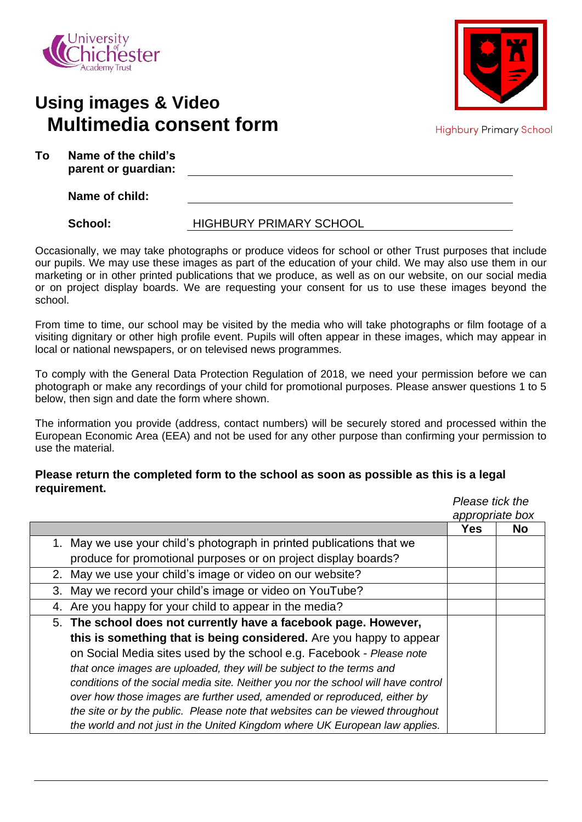

## **Using images & Video Multimedia consent form**



**Highbury Primary School** 

| Т٥ | Name of the child's |  |  |
|----|---------------------|--|--|
|    | parent or guardian: |  |  |

**Name of child:**

## School: **HIGHBURY PRIMARY SCHOOL**

Occasionally, we may take photographs or produce videos for school or other Trust purposes that include our pupils. We may use these images as part of the education of your child. We may also use them in our marketing or in other printed publications that we produce, as well as on our website, on our social media or on project display boards. We are requesting your consent for us to use these images beyond the school.

From time to time, our school may be visited by the media who will take photographs or film footage of a visiting dignitary or other high profile event. Pupils will often appear in these images, which may appear in local or national newspapers, or on televised news programmes.

To comply with the General Data Protection Regulation of 2018, we need your permission before we can photograph or make any recordings of your child for promotional purposes. Please answer questions 1 to 5 below, then sign and date the form where shown.

The information you provide (address, contact numbers) will be securely stored and processed within the European Economic Area (EEA) and not be used for any other purpose than confirming your permission to use the material.

## **Please return the completed form to the school as soon as possible as this is a legal requirement.**

|                                                                                   | Please tick the |                 |
|-----------------------------------------------------------------------------------|-----------------|-----------------|
|                                                                                   |                 | appropriate box |
|                                                                                   | <b>Yes</b>      | <b>No</b>       |
| 1. May we use your child's photograph in printed publications that we             |                 |                 |
| produce for promotional purposes or on project display boards?                    |                 |                 |
| 2. May we use your child's image or video on our website?                         |                 |                 |
| 3. May we record your child's image or video on YouTube?                          |                 |                 |
| 4. Are you happy for your child to appear in the media?                           |                 |                 |
| 5. The school does not currently have a facebook page. However,                   |                 |                 |
| this is something that is being considered. Are you happy to appear               |                 |                 |
| on Social Media sites used by the school e.g. Facebook - Please note              |                 |                 |
| that once images are uploaded, they will be subject to the terms and              |                 |                 |
| conditions of the social media site. Neither you nor the school will have control |                 |                 |
| over how those images are further used, amended or reproduced, either by          |                 |                 |
| the site or by the public. Please note that websites can be viewed throughout     |                 |                 |
| the world and not just in the United Kingdom where UK European law applies.       |                 |                 |